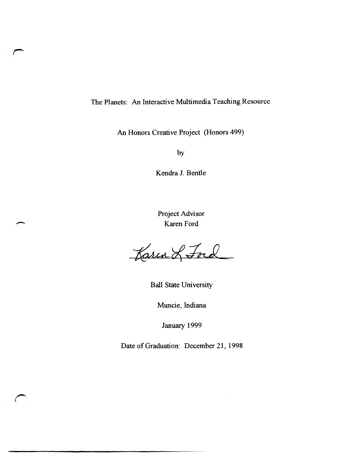## The Planets: An Interactive Multimedia Teaching Resource

An Honors Creative Project (Honors 499)

by

Kendra 1. Bentle

Project Advisor Karen Ford

Karen & Ford

Ball State University

Muncie, Indiana

January 1999

Date of Graduation: December 21, 1998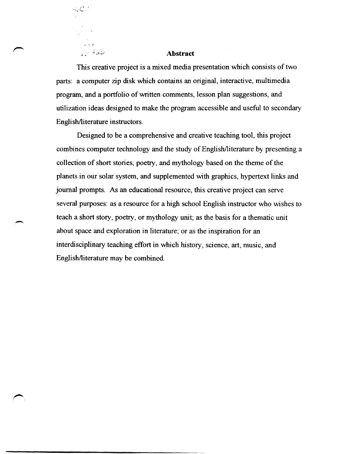**Abstract** 

, • I

 $7 - 453$ 

 $-3eC$ 

This creative project is a mixed media presentation which consists of two parts: a computer zip disk which contains an original, interactive, multimedia program, and a portfolio of written comments, lesson plan suggestions, and utilization ideas designed to make the program accessible and useful to secondary English/literature instructors.

Designed to be a comprehensive and creative teaching tool, this project combines computer technology and the study of English/literature by presenting a collection of short stories, poetry, and mythology based on the theme of the planets in our solar system, and supplemented with graphics, hypertext links and journal prompts. As an educational resource, this creative project can serve several purposes: as a resource for a high school English instructor who wishes to teach a short story, poetry, or mythology unit; as the basis for a thematic unit about space and exploration in literature; or as the inspiration for an interdisciplinary teaching effort in which history, science, art, music, and English/literature may be combined.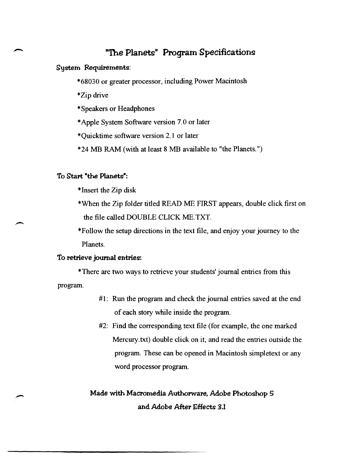## "The Planets" Program Specifications

System Requirements:

\*68030 or greater processor, including Power Macintosh

\*Zip drive

\* Speakers or Headphones

\* Apple System Software version 7.0 or later

\*Quicktime software version 2.1 or later

\*24 MB RAM (with at least 8 MB available to "the Planets. ")

### To Start "the Planets":

\*Insert the Zip disk

\*When the Zip folder titled READ ME FIRST appears, double click first on the file called DOUBLE CLICK ME. TXT.

\*Follow the setup directions in the text file, and enjoy your journey to the Planets.

#### To retrieve joumal entries:

\*There are two ways to retrieve your students' journal entries from this program.

- #1: Run the program and check the journal entries saved at the end of each story while inside the program.
- #2: Find the corresponding text file (for example, the one marked Mercury.txt) double click on it, and read the entries outside the program. These can be opened in Macintosh simpletext or any word processor program.

Made with Macromedia Authorware, Adobe Photoshop 5 and Adobe After Effects 3.1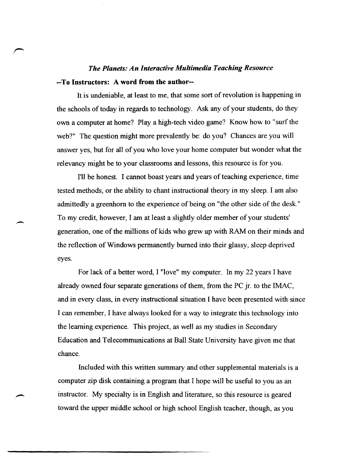# *The Planets: An Interactive Multimedia Teaching Resource*  --To Instructors: A word from the author--

It is undeniable, at least to me, that some sort of revolution is happening in the schools of today in regards to technology. Ask any of your students, do they own a computer at home? Playa high-tech video game? Know how to "surf the web?" The question might more prevalently be: do you? Chances are you will answer yes, but for all of you who love your home computer but wonder what the relevancy might be to your classrooms and lessons, this resource is for you.

I'll be honest. I cannot boast years and years of teaching experience, time tested methods, or the ability to chant instructional theory in my sleep. I am also admittedly a greenhorn to the experience of being on "the other side of the desk." To my credit, however, I am at least a slightly older member of your students' generation, one of the millions of kids who grew up with RAM on their minds and the reflection of Windows permanently burned into their glassy, sleep deprived eyes.

For lack of a better word, I "love" my computer. In my 22 years I have already owned four separate generations of them, from the PC jr. to the IMAC, and in every class, in every instructional situation I have been presented with since I can remember, I have always looked for a way to integrate this technology into the learning experience. This project, as well as my studies in Secondary Education and Telecommunications at Ball State University have given me that chance.

Included with this written summary and other supplemental materials is a computer zip disk containing a program that I hope will be useful to you as an instructor. My specialty is in English and literature, so this resource is geared toward the upper middle school or high school English teacher, though, as you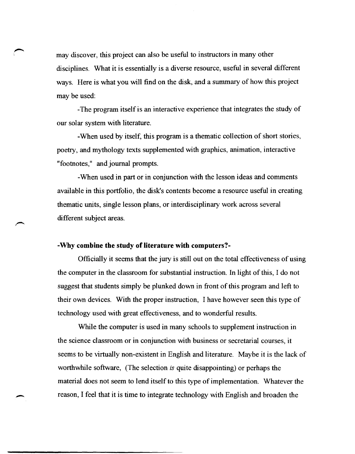\ may discover, this project can also be useful to instructors in many other disciplines. What it is essentially is a diverse resource, useful in several different ways. Here is what you will find on the disk, and a summary of how this project may be used:

-The program itself is an interactive experience that integrates the study of our solar system with literature.

-When used by itself, this program is a thematic collection of short stories, poetry, and mythology texts supplemented with graphics, animation, interactive "footnotes," and journal prompts.

-When used in part or in conjunction with the lesson ideas and comments available in this portfolio, the disk's contents become a resource useful in creating thematic units, single lesson plans, or interdisciplinary work across several different subject areas.

#### **-Why combine the study of literature with computers?-**

 $\overline{\phantom{0}}$ 

Officially it seems that the jury is still out on the total effectiveness of using the computer in the classroom for substantial instruction. In light of this, I do not suggest that students simply be plunked down in front of this program and left to their own devices. With the proper instruction, I have however seen this type of technology used with great effectiveness, and to wonderful results.

While the computer is used in many schools to supplement instruction in the science classroom or in conjunction with business or secretarial courses, it seems to be virtually non-existent in English and literature. Maybe it is the lack of worthwhile software, (The selection *is* quite disappointing) or perhaps the material does not seem to lend itself to this type of implementation. Whatever the reason, I feel that it is time to integrate technology with English and broaden the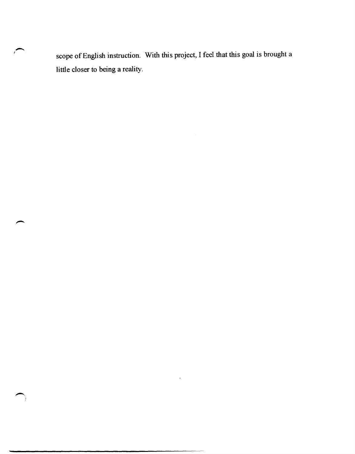scope of English instruction. With this project, I feel that this goal is brought a little closer to being a reality.

 $\ddot{\phantom{0}}$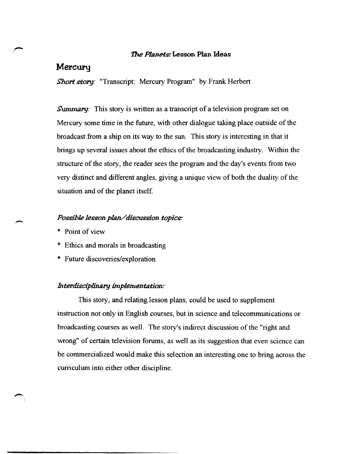### The *Planets:* Lesson Plan Ideas

## Mercury

*Short story:* "Transcript: Mercury Program" by Frank Herbert

*Summary:* This story is written as a transcript of a television program set on Mercury some time in the future, with other dialogue taking place outside of the broadcast from a ship on its way to the sun. This story is interesting in that it brings up several issues about the ethics of the broadcasting industry. Within the structure of the story, the reader sees the program and the day's events from two very distinct and different angles, giving a unique view of both the duality of the situation and of the planet itself

### *P09Sible le9Son plan/discussion topiC\$:*

\* Point of view

 $\overline{\phantom{a}}$ 

- \* Ethics and morals in broadcasting
- \* Future discoveries/exploration

#### *Interdisciplinary implementation:*

This story, and relating lesson plans, could be used to supplement instruction not only in English courses, but in science and telecommunications or broadcasting courses as well. The story's indirect discussion of the "right and wrong" of certain television forums, as well as its suggestion that even science can be commercialized would make this selection an interesting one to bring across the curriculum into either other discipline.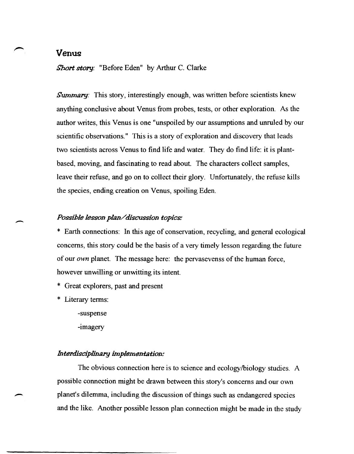## **Venus**

*Short story:* "Before Eden" by Arthur C. Clarke

*Summary:* This story, interestingly enough, was written before scientists knew anything conclusive about Venus from probes, tests, or other exploration. As the author writes, this Venus is one "unspoiled by our assumptions and unruled by our scientific observations." This is a story of exploration and discovery that leads two scientists across Venus to find life and water. They do find life: it is plantbased, moving, and fascinating to read about. The characters collect samples, leave their refuse, and go on to collect their glory. Unfortunately, the refuse kills the species, ending creation on Venus, spoiling Eden.

### *P09Sihle le9Son plan/discussion topics.'*

\* Earth connections: In this age of conservation, recycling, and general ecological concerns, this story could be the basis of a very timely lesson regarding the future of our *own* planet. The message here: the pervasevenss of the human force, however unwilling or unwitting its intent.

\* Great explorers, past and present

Literary terms:

 $\overline{\phantom{a}}$ 

-

-suspense

-imagery

### *Interdisciplinary implementation:*

The obvious connection here is to science and ecologylbiology studies. A possible connection might be drawn between this story's concerns and our own planet's dilemma, including the discussion of things such as endangered species and the like. Another possible lesson plan connection might be made in the study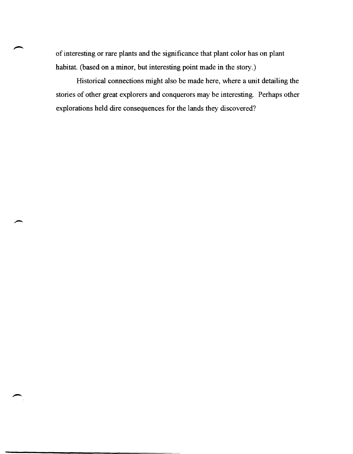of interesting or rare plants and the significance that plant color has on plant habitat. (based on a minor, but interesting point made in the story.)

Historical connections might also be made here, where a unit detailing the stories of other great explorers and conquerors may be interesting. Perhaps other explorations held dire consequences for the lands they discovered?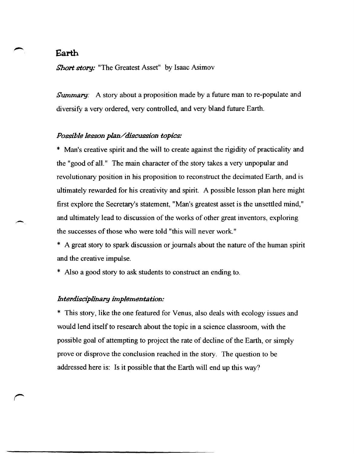## **Earth**

*Short story:* "The Greatest Asset" by Isaac Asimov

*Summary:* A story about a proposition made by a future man to re-populate and diversify a very ordered, very controlled, and very bland future Earth.

#### *Possible lesson plan/discussion topics:*

\* Man's creative spirit and the will to create against the rigidity of practicality and the "good of all." The main character of the story takes a very unpopular and revolutionary position in his proposition to reconstruct the decimated Earth, and is ultimately rewarded for his creativity and spirit. A possible lesson plan here might first explore the Secretary's statement, "Man's greatest asset is the unsettled mind," and ultimately lead to discussion of the works of other great inventors, exploring the successes of those who were told "this will never work."

- \* A great story to spark discussion or journals about the nature of the human spirit and the creative impulse.
- \* Also a good story to ask students to construct an ending to.

### *Interdisciplinary implementation:*

\* This story, like the one featured for Venus, also deals with ecology issues and would lend itself to research about the topic in a science classroom, with the possible goal of attempting to project the rate of decline of the Earth, or simply prove or disprove the conclusion reached in the story. The question to be addressed here is: Is it possible that the Earth will end up this way?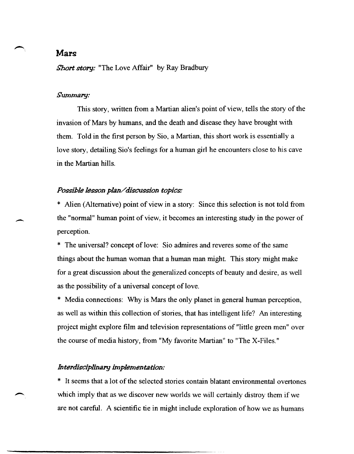## **Mars**

*Short story:* "The Love Affair" by Ray Bradbury

### *Summary:*

 $\overline{\phantom{a}}$ 

This story, written from a Martian alien's point of view, tells the story of the invasion of Mars by humans, and the death and disease they have brought with them. Told in the first person by Sio, a Martian, this short work is essentially a love story, detailing Sio's feelings for a human girl he encounters close to his cave in the Martian hills.

### *Possible lesson p/an/ discugsion topics:*

\* Alien (Alternative) point of view in a story: Since this selection is not told from the "normal" human point of view, it becomes an interesting study in the power of perception.

\* The universal? concept of love: Sio admires and reveres some of the same things about the human woman that a human man might. This story might make for a great discussion about the generalized concepts of beauty and desire, as well as the possibility of a universal concept of love.

\* Media connections: Why is Mars the only planet in general human perception, as well as within this collection of stories, that has intelligent life? An interesting project might explore film and television representations of "little green men" over the course of media history, from "My favorite Martian" to "The X-Files."

#### *Interdisciplinary implementation:*

\* It seems that a lot of the selected stories contain blatant environmental overtones which imply that as we discover new worlds we will certainly distroy them if we are not careful. A scientific tie in might include exploration of how we as humans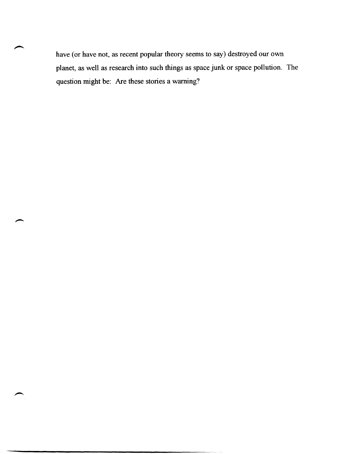have (or have not, as recent popular theory seems to say) destroyed our own planet, as well as research into such things as space junk or space pollution. The question might be: Are these stories a warning?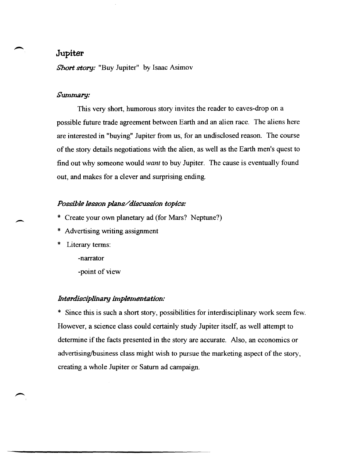## **Jupiter**

*Short story:* "Buy Jupiter" by Isaac Asimov

### *Summary:*

This very short, humorous story invites the reader to eaves-drop on a possible future trade agreement between Earth and an alien race. The aliens here are interested in "buying" Jupiter from us, for an undisclosed reason. The course of the story details negotiations with the alien, as well as the Earth men's quest to find out why someone would *want* to buy Jupiter. The cause is eventually found out, and makes for a clever and surprising ending.

### *Possible lesson plans/discussion topics:*

- \* Create your own planetary ad (for Mars? Neptune?)
- \* Advertising writing assignment
- \* Literary terms:

-narrator

-point of view

### *Interdisciplinary implementation:*

\* Since this is such a short story, possibilities for interdisciplinary work seem few. However, a science class could certainly study Jupiter itself, as well attempt to determine if the facts presented in the story are accurate. Also, an economics or advertising/business class might wish to pursue the marketing aspect of the story, creating a whole Jupiter or Saturn ad campaign.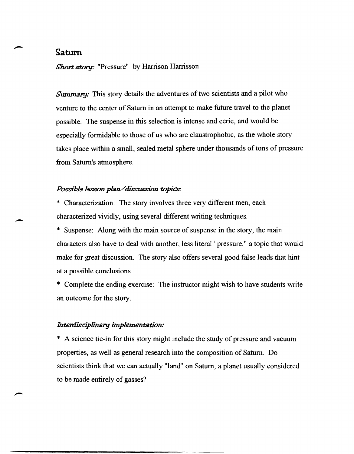## **Satum**

 $\overline{\phantom{0}}$ 

*Short story:* "Pressure" by Harrison Harrisson

*Summary:* This story details the adventures of two scientists and a pilot who venture to the center of Saturn in an attempt to make future travel to the planet possible. The suspense in this selection is intense and eerie, and would be especially formidable to those of us who are claustrophobic, as the whole story takes place within a small, sealed metal sphere under thousands of tons of pressure from Saturn's atmosphere.

### *Possible lesson plan/discussion topics:*

\* Characterization: The story involves three very different men, each characterized vividly, using several different writing techniques.

\* Suspense: Along with the main source of suspense in the story, the main characters also have to deal with another, less literal "pressure," a topic that would make for great discussion. The story also offers several good false leads that hint at a possible conclusions.

\* Complete the ending exercise: The instructor might wish to have students write an outcome for the story.

### *Interdisciplinary implementation:*

\* A science tie-in for this story might include the study of pressure and vacuum properties, as well as general research into the composition of Saturn. Do scientists think that we can actually "land" on Saturn, a planet usually considered to be made entirely of gasses?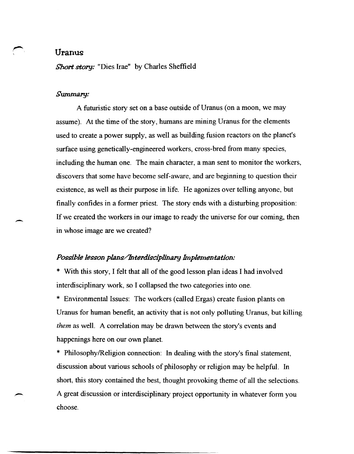### **Uranus**

*\$hort story:* "Dies Irae" by Charles Sheffield

### *Summary:*

A futuristic story set on a base outside of Uranus (on a moon, we may assume). At the time of the story, humans are mining Uranus for the elements used to create a power supply, as well as building fusion reactors on the planet's surface using genetically-engineered workers, cross-bred from many species, including the human one. The main character, a man sent to monitor the workers, discovers that some have become self-aware, and are beginning to question their existence, as well as their purpose in life. He agonizes over telling anyone, but finally confides in a former priest. The story ends with a disturbing proposition: If we created the workers in our image to ready the universe for our coming, then in whose image are we created?

#### *Possible lesson plans/Interdisciplinary Implementation:*

\* With this story, I felt that all of the good lesson plan ideas I had involved interdisciplinary work, so I collapsed the two categories into one.

\* Environmental Issues: The workers (called Ergas) create fusion plants on Uranus for human benefit, an activity that is not only polluting Uranus, but killing *them* as well. A correlation may be drawn between the story's events and happenings here on our own planet.

\* Philosophy/Religion connection: In dealing with the story's final statement, discussion about various schools of philosophy or religion may be helpful. In short, this story contained the best, thought provoking theme of all the selections. A great discussion or interdisciplinary project opportunity in whatever fonn you choose.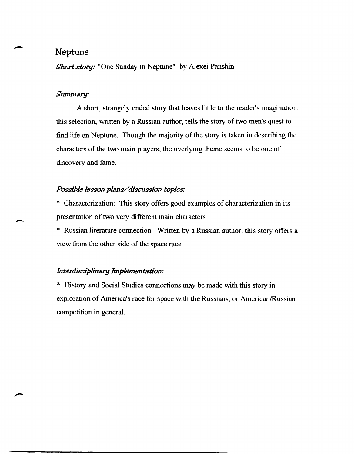## Neptune

*Short story:* "One Sunday in Neptune" by Alexei Panshin

### *Summary:*

A short, strangely ended story that leaves little to the reader's imagination, this selection, written by a Russian author, tells the story of two men's quest to find life on Neptune. Though the majority of the story is taken in describing the characters of the two main players, the overlying theme seems to be one of discovery and fame.

## *Possible lesson plans/ disCU\$\$ion topics:*

\* Characterization: This story offers good examples of characterization in its presentation of two very different main characters.

\* Russian literature connection: Written by a Russian author, this story offers a view from the other side of the space race.

### *Interdisciplinary Implementation:*

\* History and Social Studies connections may be made with this story in exploration of America's race for space with the Russians, or American/Russian competition in general.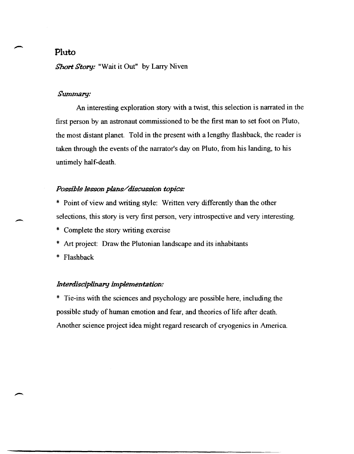## **Pluto**

Short Story: "Wait it Out" by Larry Niven

### Summary:

An interesting exploration story with a twist, this selection is narrated in the first person by an astronaut commissioned to be the first man to set foot on Pluto, the most distant planet. Told in the present with a lengthy flashback, the reader is taken through the events of the narrator's day on Pluto, from his landing, to his untimely half-death.

## *P09Sible le9Son plans/discussion topics:*

- \* Point of view and writing style: Written very differently than the other selections, this story is very first person, very introspective and very interesting.
- \* Complete the story writing exercise
- \* Art project: Draw the Plutonian landscape and its inhabitants
- \* Flashback

 $\overline{\phantom{0}}$ 

#### *Interdisciplinary implementation:*

\* Tie-ins with the sciences and psychology are possible here, including the possible study of human emotion and fear, and theories of life after death. Another science project idea might regard research of cryogenics in America.